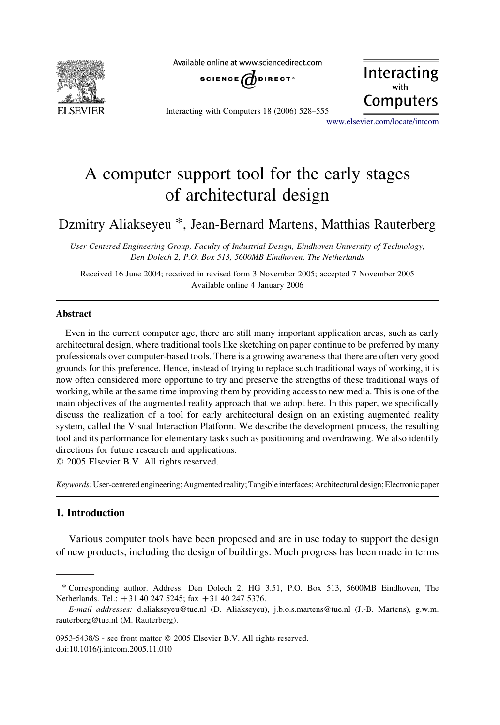

Available online at www.sciencedirect.com



Interacting Computers

Interacting with Computers 18 (2006) 528–555

[www.elsevier.com/locate/intcom](http://www.elsevier.com/locate/intcom)

# A computer support tool for the early stages of architectural design

## Dzmitry Aliakseyeu \*, Jean-Bernard Martens, Matthias Rauterberg

User Centered Engineering Group, Faculty of Industrial Design, Eindhoven University of Technology, Den Dolech 2, P.O. Box 513, 5600MB Eindhoven, The Netherlands

Received 16 June 2004; received in revised form 3 November 2005; accepted 7 November 2005 Available online 4 January 2006

#### Abstract

Even in the current computer age, there are still many important application areas, such as early architectural design, where traditional tools like sketching on paper continue to be preferred by many professionals over computer-based tools. There is a growing awareness that there are often very good grounds for this preference. Hence, instead of trying to replace such traditional ways of working, it is now often considered more opportune to try and preserve the strengths of these traditional ways of working, while at the same time improving them by providing access to new media. This is one of the main objectives of the augmented reality approach that we adopt here. In this paper, we specifically discuss the realization of a tool for early architectural design on an existing augmented reality system, called the Visual Interaction Platform. We describe the development process, the resulting tool and its performance for elementary tasks such as positioning and overdrawing. We also identify directions for future research and applications.

 $© 2005 Elsevier B.V. All rights reserved.$ 

Keywords: User-centered engineering; Augmented reality; Tangible interfaces; Architectural design; Electronic paper

## 1. Introduction

Various computer tools have been proposed and are in use today to support the design of new products, including the design of buildings. Much progress has been made in terms

<sup>\*</sup> Corresponding author. Address: Den Dolech 2, HG 3.51, P.O. Box 513, 5600MB Eindhoven, The Netherlands. Tel.: +31 40 247 5245; fax +31 40 247 5376.

E-mail addresses: d.aliakseyeu@tue.nl (D. Aliakseyeu), j.b.o.s.martens@tue.nl (J.-B. Martens), g.w.m. rauterberg@tue.nl (M. Rauterberg).

<sup>0953-5438/\$ -</sup> see front matter © 2005 Elsevier B.V. All rights reserved. doi:10.1016/j.intcom.2005.11.010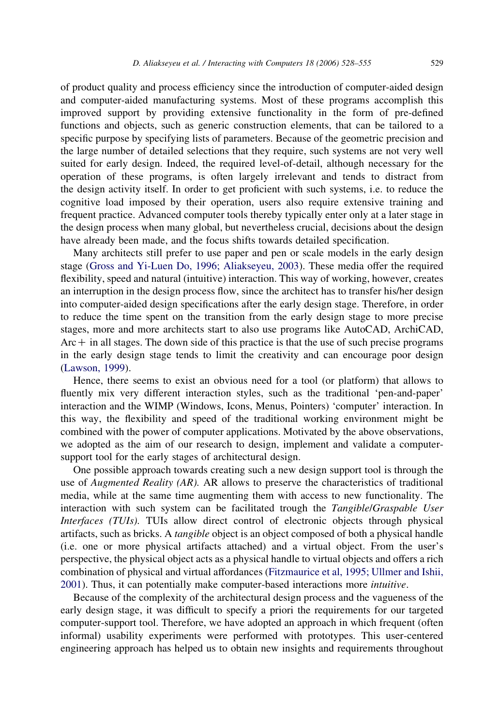of product quality and process efficiency since the introduction of computer-aided design and computer-aided manufacturing systems. Most of these programs accomplish this improved support by providing extensive functionality in the form of pre-defined functions and objects, such as generic construction elements, that can be tailored to a specific purpose by specifying lists of parameters. Because of the geometric precision and the large number of detailed selections that they require, such systems are not very well suited for early design. Indeed, the required level-of-detail, although necessary for the operation of these programs, is often largely irrelevant and tends to distract from the design activity itself. In order to get proficient with such systems, i.e. to reduce the cognitive load imposed by their operation, users also require extensive training and frequent practice. Advanced computer tools thereby typically enter only at a later stage in the design process when many global, but nevertheless crucial, decisions about the design have already been made, and the focus shifts towards detailed specification.

Many architects still prefer to use paper and pen or scale models in the early design stage ([Gross and Yi-Luen Do, 1996; Aliakseyeu, 2003](#page-26-0)). These media offer the required flexibility, speed and natural (intuitive) interaction. This way of working, however, creates an interruption in the design process flow, since the architect has to transfer his/her design into computer-aided design specifications after the early design stage. Therefore, in order to reduce the time spent on the transition from the early design stage to more precise stages, more and more architects start to also use programs like AutoCAD, ArchiCAD,  $Arc + in all stages. The down side of this practice is that the use of such precise programs$ in the early design stage tends to limit the creativity and can encourage poor design [\(Lawson, 1999](#page-26-0)).

Hence, there seems to exist an obvious need for a tool (or platform) that allows to fluently mix very different interaction styles, such as the traditional 'pen-and-paper' interaction and the WIMP (Windows, Icons, Menus, Pointers) 'computer' interaction. In this way, the flexibility and speed of the traditional working environment might be combined with the power of computer applications. Motivated by the above observations, we adopted as the aim of our research to design, implement and validate a computersupport tool for the early stages of architectural design.

One possible approach towards creating such a new design support tool is through the use of *Augmented Reality (AR)*. AR allows to preserve the characteristics of traditional media, while at the same time augmenting them with access to new functionality. The interaction with such system can be facilitated trough the Tangible/Graspable User Interfaces (TUIs). TUIs allow direct control of electronic objects through physical artifacts, such as bricks. A tangible object is an object composed of both a physical handle (i.e. one or more physical artifacts attached) and a virtual object. From the user's perspective, the physical object acts as a physical handle to virtual objects and offers a rich combination of physical and virtual affordances ([Fitzmaurice et al, 1995; Ullmer and Ishii,](#page-26-0) [2001\)](#page-26-0). Thus, it can potentially make computer-based interactions more intuitive.

Because of the complexity of the architectural design process and the vagueness of the early design stage, it was difficult to specify a priori the requirements for our targeted computer-support tool. Therefore, we have adopted an approach in which frequent (often informal) usability experiments were performed with prototypes. This user-centered engineering approach has helped us to obtain new insights and requirements throughout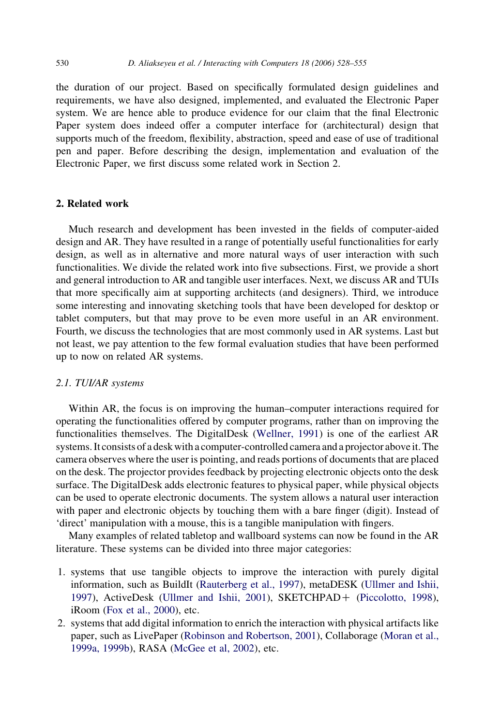the duration of our project. Based on specifically formulated design guidelines and requirements, we have also designed, implemented, and evaluated the Electronic Paper system. We are hence able to produce evidence for our claim that the final Electronic Paper system does indeed offer a computer interface for (architectural) design that supports much of the freedom, flexibility, abstraction, speed and ease of use of traditional pen and paper. Before describing the design, implementation and evaluation of the Electronic Paper, we first discuss some related work in Section 2.

## 2. Related work

Much research and development has been invested in the fields of computer-aided design and AR. They have resulted in a range of potentially useful functionalities for early design, as well as in alternative and more natural ways of user interaction with such functionalities. We divide the related work into five subsections. First, we provide a short and general introduction to AR and tangible user interfaces. Next, we discuss AR and TUIs that more specifically aim at supporting architects (and designers). Third, we introduce some interesting and innovating sketching tools that have been developed for desktop or tablet computers, but that may prove to be even more useful in an AR environment. Fourth, we discuss the technologies that are most commonly used in AR systems. Last but not least, we pay attention to the few formal evaluation studies that have been performed up to now on related AR systems.

## 2.1. TUI/AR systems

Within AR, the focus is on improving the human–computer interactions required for operating the functionalities offered by computer programs, rather than on improving the functionalities themselves. The DigitalDesk [\(Wellner, 1991\)](#page-27-0) is one of the earliest AR systems. It consists of a desk with a computer-controlled camera and a projector aboveit. The camera observes where the user is pointing, and reads portions of documents that are placed on the desk. The projector provides feedback by projecting electronic objects onto the desk surface. The DigitalDesk adds electronic features to physical paper, while physical objects can be used to operate electronic documents. The system allows a natural user interaction with paper and electronic objects by touching them with a bare finger (digit). Instead of 'direct' manipulation with a mouse, this is a tangible manipulation with fingers.

Many examples of related tabletop and wallboard systems can now be found in the AR literature. These systems can be divided into three major categories:

- 1. systems that use tangible objects to improve the interaction with purely digital information, such as BuildIt [\(Rauterberg et al., 1997\)](#page-27-0), metaDESK ([Ullmer and Ishii,](#page-27-0) [1997](#page-27-0)), ActiveDesk [\(Ullmer and Ishii, 2001\)](#page-27-0), SKETCHPAD+ [\(Piccolotto, 1998](#page-27-0)), iRoom ([Fox et al., 2000\)](#page-26-0), etc.
- 2. systems that add digital information to enrich the interaction with physical artifacts like paper, such as LivePaper [\(Robinson and Robertson, 2001](#page-27-0)), Collaborage ([Moran et al.,](#page-26-0) [1999a, 1999b](#page-26-0)), RASA ([McGee et al, 2002](#page-26-0)), etc.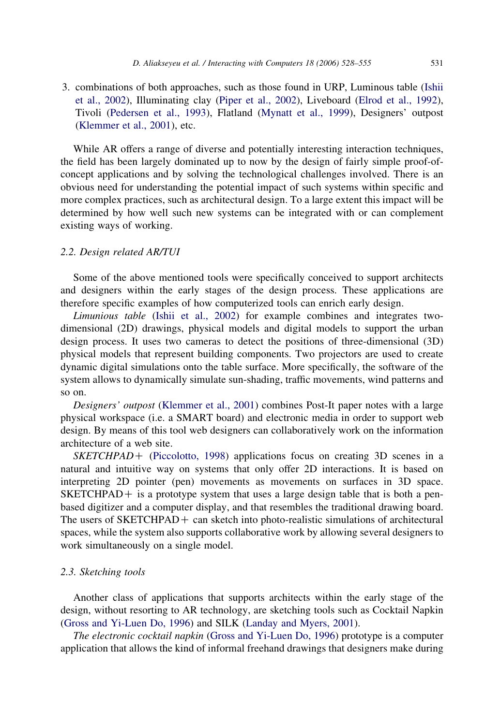3. combinations of both approaches, such as those found in URP, Luminous table ([Ishii](#page-26-0) [et al., 2002](#page-26-0)), Illuminating clay [\(Piper et al., 2002\)](#page-27-0), Liveboard ([Elrod et al., 1992\)](#page-26-0), Tivoli [\(Pedersen et al., 1993](#page-26-0)), Flatland ([Mynatt et al., 1999](#page-26-0)), Designers' outpost ([Klemmer et al., 2001](#page-26-0)), etc.

While AR offers a range of diverse and potentially interesting interaction techniques, the field has been largely dominated up to now by the design of fairly simple proof-ofconcept applications and by solving the technological challenges involved. There is an obvious need for understanding the potential impact of such systems within specific and more complex practices, such as architectural design. To a large extent this impact will be determined by how well such new systems can be integrated with or can complement existing ways of working.

## 2.2. Design related AR/TUI

Some of the above mentioned tools were specifically conceived to support architects and designers within the early stages of the design process. These applications are therefore specific examples of how computerized tools can enrich early design.

Limunious table ([Ishii et al., 2002\)](#page-26-0) for example combines and integrates twodimensional (2D) drawings, physical models and digital models to support the urban design process. It uses two cameras to detect the positions of three-dimensional (3D) physical models that represent building components. Two projectors are used to create dynamic digital simulations onto the table surface. More specifically, the software of the system allows to dynamically simulate sun-shading, traffic movements, wind patterns and so on.

Designers' outpost ([Klemmer et al., 2001\)](#page-26-0) combines Post-It paper notes with a large physical workspace (i.e. a SMART board) and electronic media in order to support web design. By means of this tool web designers can collaboratively work on the information architecture of a web site.

 $SKETCHPAD+$  [\(Piccolotto, 1998](#page-27-0)) applications focus on creating 3D scenes in a natural and intuitive way on systems that only offer 2D interactions. It is based on interpreting 2D pointer (pen) movements as movements on surfaces in 3D space.  $SKEYCHPAD+$  is a prototype system that uses a large design table that is both a penbased digitizer and a computer display, and that resembles the traditional drawing board. The users of  $SKETCHPAD +$  can sketch into photo-realistic simulations of architectural spaces, while the system also supports collaborative work by allowing several designers to work simultaneously on a single model.

## 2.3. Sketching tools

Another class of applications that supports architects within the early stage of the design, without resorting to AR technology, are sketching tools such as Cocktail Napkin [\(Gross and Yi-Luen Do, 1996](#page-26-0)) and SILK [\(Landay and Myers, 2001\)](#page-26-0).

The electronic cocktail napkin ([Gross and Yi-Luen Do, 1996\)](#page-26-0) prototype is a computer application that allows the kind of informal freehand drawings that designers make during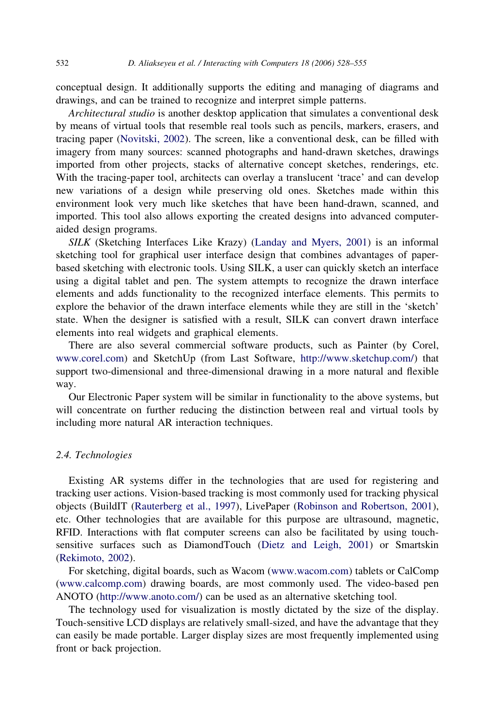conceptual design. It additionally supports the editing and managing of diagrams and drawings, and can be trained to recognize and interpret simple patterns.

Architectural studio is another desktop application that simulates a conventional desk by means of virtual tools that resemble real tools such as pencils, markers, erasers, and tracing paper ([Novitski, 2002](#page-26-0)). The screen, like a conventional desk, can be filled with imagery from many sources: scanned photographs and hand-drawn sketches, drawings imported from other projects, stacks of alternative concept sketches, renderings, etc. With the tracing-paper tool, architects can overlay a translucent 'trace' and can develop new variations of a design while preserving old ones. Sketches made within this environment look very much like sketches that have been hand-drawn, scanned, and imported. This tool also allows exporting the created designs into advanced computeraided design programs.

SILK (Sketching Interfaces Like Krazy) ([Landay and Myers, 2001](#page-26-0)) is an informal sketching tool for graphical user interface design that combines advantages of paperbased sketching with electronic tools. Using SILK, a user can quickly sketch an interface using a digital tablet and pen. The system attempts to recognize the drawn interface elements and adds functionality to the recognized interface elements. This permits to explore the behavior of the drawn interface elements while they are still in the 'sketch' state. When the designer is satisfied with a result, SILK can convert drawn interface elements into real widgets and graphical elements.

There are also several commercial software products, such as Painter (by Corel, [www.corel.com](http://www.corel.com)) and SketchUp (from Last Software, [http://www.sketchup.com/\)](http://www.sketchup.com/) that support two-dimensional and three-dimensional drawing in a more natural and flexible way.

Our Electronic Paper system will be similar in functionality to the above systems, but will concentrate on further reducing the distinction between real and virtual tools by including more natural AR interaction techniques.

## 2.4. Technologies

Existing AR systems differ in the technologies that are used for registering and tracking user actions. Vision-based tracking is most commonly used for tracking physical objects (BuildIT [\(Rauterberg et al., 1997\)](#page-27-0), LivePaper [\(Robinson and Robertson, 2001](#page-27-0)), etc. Other technologies that are available for this purpose are ultrasound, magnetic, RFID. Interactions with flat computer screens can also be facilitated by using touchsensitive surfaces such as DiamondTouch ([Dietz and Leigh, 2001](#page-25-0)) or Smartskin ([Rekimoto, 2002](#page-27-0)).

For sketching, digital boards, such as Wacom ([www.wacom.com\)](http://www.wacom.com) tablets or CalComp ([www.calcomp.com](http://www.calcomp.com)) drawing boards, are most commonly used. The video-based pen ANOTO (<http://www.anoto.com/>) can be used as an alternative sketching tool.

The technology used for visualization is mostly dictated by the size of the display. Touch-sensitive LCD displays are relatively small-sized, and have the advantage that they can easily be made portable. Larger display sizes are most frequently implemented using front or back projection.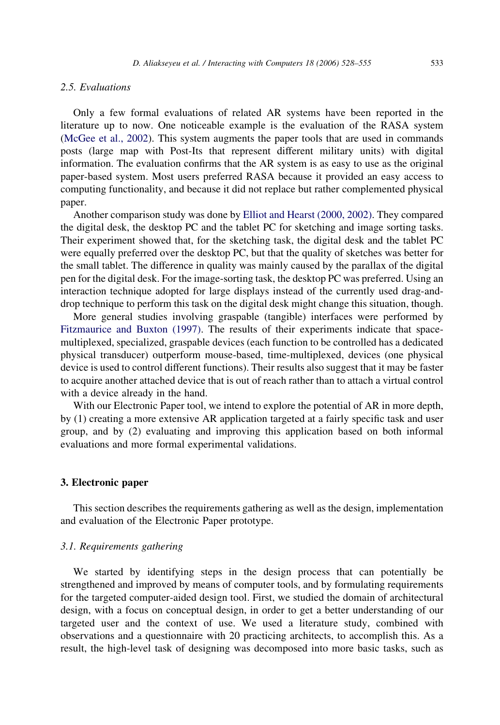## 2.5. Evaluations

Only a few formal evaluations of related AR systems have been reported in the literature up to now. One noticeable example is the evaluation of the RASA system [\(McGee et al., 2002\)](#page-26-0). This system augments the paper tools that are used in commands posts (large map with Post-Its that represent different military units) with digital information. The evaluation confirms that the AR system is as easy to use as the original paper-based system. Most users preferred RASA because it provided an easy access to computing functionality, and because it did not replace but rather complemented physical paper.

Another comparison study was done by [Elliot and Hearst \(2000, 2002\)](#page-25-0). They compared the digital desk, the desktop PC and the tablet PC for sketching and image sorting tasks. Their experiment showed that, for the sketching task, the digital desk and the tablet PC were equally preferred over the desktop PC, but that the quality of sketches was better for the small tablet. The difference in quality was mainly caused by the parallax of the digital pen for the digital desk. For the image-sorting task, the desktop PC was preferred. Using an interaction technique adopted for large displays instead of the currently used drag-anddrop technique to perform this task on the digital desk might change this situation, though.

More general studies involving graspable (tangible) interfaces were performed by [Fitzmaurice and Buxton \(1997\)](#page-26-0). The results of their experiments indicate that spacemultiplexed, specialized, graspable devices (each function to be controlled has a dedicated physical transducer) outperform mouse-based, time-multiplexed, devices (one physical device is used to control different functions). Their results also suggest that it may be faster to acquire another attached device that is out of reach rather than to attach a virtual control with a device already in the hand.

With our Electronic Paper tool, we intend to explore the potential of AR in more depth, by (1) creating a more extensive AR application targeted at a fairly specific task and user group, and by (2) evaluating and improving this application based on both informal evaluations and more formal experimental validations.

#### 3. Electronic paper

This section describes the requirements gathering as well as the design, implementation and evaluation of the Electronic Paper prototype.

## 3.1. Requirements gathering

We started by identifying steps in the design process that can potentially be strengthened and improved by means of computer tools, and by formulating requirements for the targeted computer-aided design tool. First, we studied the domain of architectural design, with a focus on conceptual design, in order to get a better understanding of our targeted user and the context of use. We used a literature study, combined with observations and a questionnaire with 20 practicing architects, to accomplish this. As a result, the high-level task of designing was decomposed into more basic tasks, such as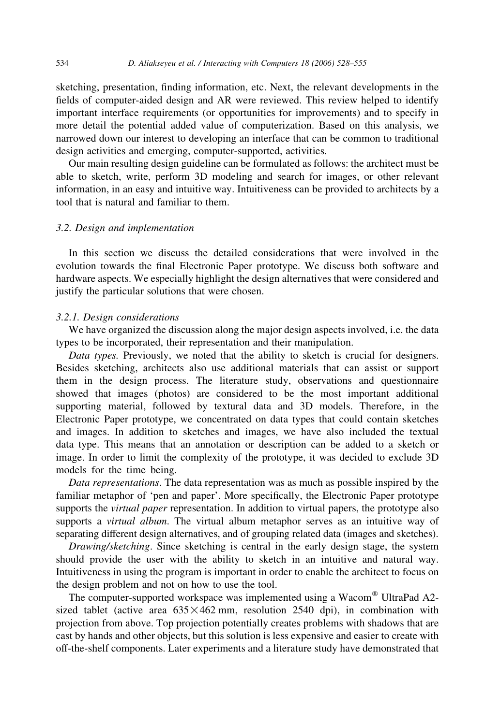sketching, presentation, finding information, etc. Next, the relevant developments in the fields of computer-aided design and AR were reviewed. This review helped to identify important interface requirements (or opportunities for improvements) and to specify in more detail the potential added value of computerization. Based on this analysis, we narrowed down our interest to developing an interface that can be common to traditional design activities and emerging, computer-supported, activities.

Our main resulting design guideline can be formulated as follows: the architect must be able to sketch, write, perform 3D modeling and search for images, or other relevant information, in an easy and intuitive way. Intuitiveness can be provided to architects by a tool that is natural and familiar to them.

## 3.2. Design and implementation

In this section we discuss the detailed considerations that were involved in the evolution towards the final Electronic Paper prototype. We discuss both software and hardware aspects. We especially highlight the design alternatives that were considered and justify the particular solutions that were chosen.

#### 3.2.1. Design considerations

We have organized the discussion along the major design aspects involved, i.e. the data types to be incorporated, their representation and their manipulation.

Data types. Previously, we noted that the ability to sketch is crucial for designers. Besides sketching, architects also use additional materials that can assist or support them in the design process. The literature study, observations and questionnaire showed that images (photos) are considered to be the most important additional supporting material, followed by textural data and 3D models. Therefore, in the Electronic Paper prototype, we concentrated on data types that could contain sketches and images. In addition to sketches and images, we have also included the textual data type. This means that an annotation or description can be added to a sketch or image. In order to limit the complexity of the prototype, it was decided to exclude 3D models for the time being.

Data representations. The data representation was as much as possible inspired by the familiar metaphor of 'pen and paper'. More specifically, the Electronic Paper prototype supports the *virtual paper* representation. In addition to virtual papers, the prototype also supports a virtual album. The virtual album metaphor serves as an intuitive way of separating different design alternatives, and of grouping related data (images and sketches).

Drawing/sketching. Since sketching is central in the early design stage, the system should provide the user with the ability to sketch in an intuitive and natural way. Intuitiveness in using the program is important in order to enable the architect to focus on the design problem and not on how to use the tool.

The computer-supported workspace was implemented using a Wacom® UltraPad A2sized tablet (active area  $635 \times 462$  mm, resolution 2540 dpi), in combination with projection from above. Top projection potentially creates problems with shadows that are cast by hands and other objects, but this solution is less expensive and easier to create with off-the-shelf components. Later experiments and a literature study have demonstrated that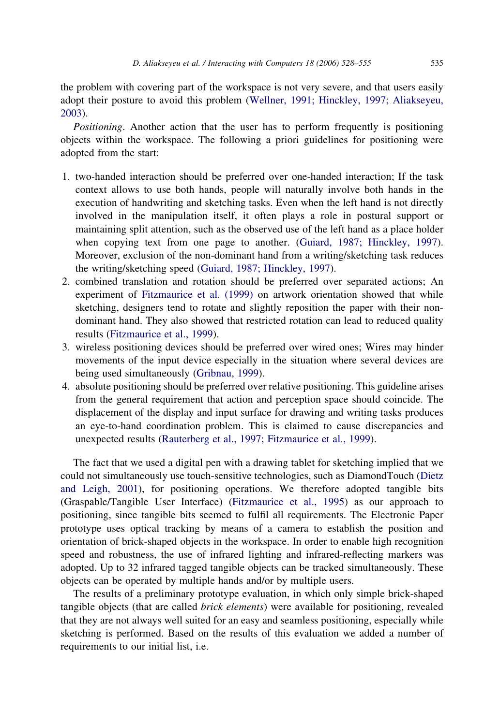the problem with covering part of the workspace is not very severe, and that users easily adopt their posture to avoid this problem ([Wellner, 1991; Hinckley, 1997; Aliakseyeu,](#page-27-0) [2003\)](#page-27-0).

Positioning. Another action that the user has to perform frequently is positioning objects within the workspace. The following a priori guidelines for positioning were adopted from the start:

- 1. two-handed interaction should be preferred over one-handed interaction; If the task context allows to use both hands, people will naturally involve both hands in the execution of handwriting and sketching tasks. Even when the left hand is not directly involved in the manipulation itself, it often plays a role in postural support or maintaining split attention, such as the observed use of the left hand as a place holder when copying text from one page to another. ([Guiard, 1987; Hinckley, 1997\)](#page-26-0). Moreover, exclusion of the non-dominant hand from a writing/sketching task reduces the writing/sketching speed [\(Guiard, 1987; Hinckley, 1997](#page-26-0)).
- 2. combined translation and rotation should be preferred over separated actions; An experiment of [Fitzmaurice et al. \(1999\)](#page-26-0) on artwork orientation showed that while sketching, designers tend to rotate and slightly reposition the paper with their nondominant hand. They also showed that restricted rotation can lead to reduced quality results [\(Fitzmaurice et al., 1999](#page-26-0)).
- 3. wireless positioning devices should be preferred over wired ones; Wires may hinder movements of the input device especially in the situation where several devices are being used simultaneously [\(Gribnau, 1999](#page-26-0)).
- 4. absolute positioning should be preferred over relative positioning. This guideline arises from the general requirement that action and perception space should coincide. The displacement of the display and input surface for drawing and writing tasks produces an eye-to-hand coordination problem. This is claimed to cause discrepancies and unexpected results ([Rauterberg et al., 1997; Fitzmaurice et al., 1999\)](#page-27-0).

The fact that we used a digital pen with a drawing tablet for sketching implied that we could not simultaneously use touch-sensitive technologies, such as DiamondTouch ([Dietz](#page-25-0) [and Leigh, 2001\)](#page-25-0), for positioning operations. We therefore adopted tangible bits (Graspable/Tangible User Interface) ([Fitzmaurice et al., 1995\)](#page-26-0) as our approach to positioning, since tangible bits seemed to fulfil all requirements. The Electronic Paper prototype uses optical tracking by means of a camera to establish the position and orientation of brick-shaped objects in the workspace. In order to enable high recognition speed and robustness, the use of infrared lighting and infrared-reflecting markers was adopted. Up to 32 infrared tagged tangible objects can be tracked simultaneously. These objects can be operated by multiple hands and/or by multiple users.

The results of a preliminary prototype evaluation, in which only simple brick-shaped tangible objects (that are called brick elements) were available for positioning, revealed that they are not always well suited for an easy and seamless positioning, especially while sketching is performed. Based on the results of this evaluation we added a number of requirements to our initial list, i.e.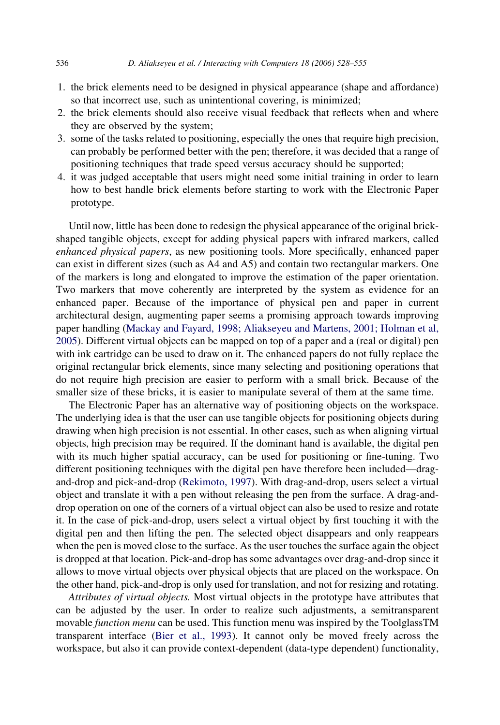- 1. the brick elements need to be designed in physical appearance (shape and affordance) so that incorrect use, such as unintentional covering, is minimized;
- 2. the brick elements should also receive visual feedback that reflects when and where they are observed by the system;
- 3. some of the tasks related to positioning, especially the ones that require high precision, can probably be performed better with the pen; therefore, it was decided that a range of positioning techniques that trade speed versus accuracy should be supported;
- 4. it was judged acceptable that users might need some initial training in order to learn how to best handle brick elements before starting to work with the Electronic Paper prototype.

Until now, little has been done to redesign the physical appearance of the original brickshaped tangible objects, except for adding physical papers with infrared markers, called enhanced physical papers, as new positioning tools. More specifically, enhanced paper can exist in different sizes (such as A4 and A5) and contain two rectangular markers. One of the markers is long and elongated to improve the estimation of the paper orientation. Two markers that move coherently are interpreted by the system as evidence for an enhanced paper. Because of the importance of physical pen and paper in current architectural design, augmenting paper seems a promising approach towards improving paper handling [\(Mackay and Fayard, 1998; Aliakseyeu and Martens, 2001; Holman et al,](#page-26-0) [2005](#page-26-0)). Different virtual objects can be mapped on top of a paper and a (real or digital) pen with ink cartridge can be used to draw on it. The enhanced papers do not fully replace the original rectangular brick elements, since many selecting and positioning operations that do not require high precision are easier to perform with a small brick. Because of the smaller size of these bricks, it is easier to manipulate several of them at the same time.

The Electronic Paper has an alternative way of positioning objects on the workspace. The underlying idea is that the user can use tangible objects for positioning objects during drawing when high precision is not essential. In other cases, such as when aligning virtual objects, high precision may be required. If the dominant hand is available, the digital pen with its much higher spatial accuracy, can be used for positioning or fine-tuning. Two different positioning techniques with the digital pen have therefore been included—dragand-drop and pick-and-drop ([Rekimoto, 1997\)](#page-27-0). With drag-and-drop, users select a virtual object and translate it with a pen without releasing the pen from the surface. A drag-anddrop operation on one of the corners of a virtual object can also be used to resize and rotate it. In the case of pick-and-drop, users select a virtual object by first touching it with the digital pen and then lifting the pen. The selected object disappears and only reappears when the pen is moved close to the surface. As the user touches the surface again the object is dropped at that location. Pick-and-drop has some advantages over drag-and-drop since it allows to move virtual objects over physical objects that are placed on the workspace. On the other hand, pick-and-drop is only used for translation, and not for resizing and rotating.

Attributes of virtual objects. Most virtual objects in the prototype have attributes that can be adjusted by the user. In order to realize such adjustments, a semitransparent movable function menu can be used. This function menu was inspired by the ToolglassTM transparent interface [\(Bier et al., 1993](#page-25-0)). It cannot only be moved freely across the workspace, but also it can provide context-dependent (data-type dependent) functionality,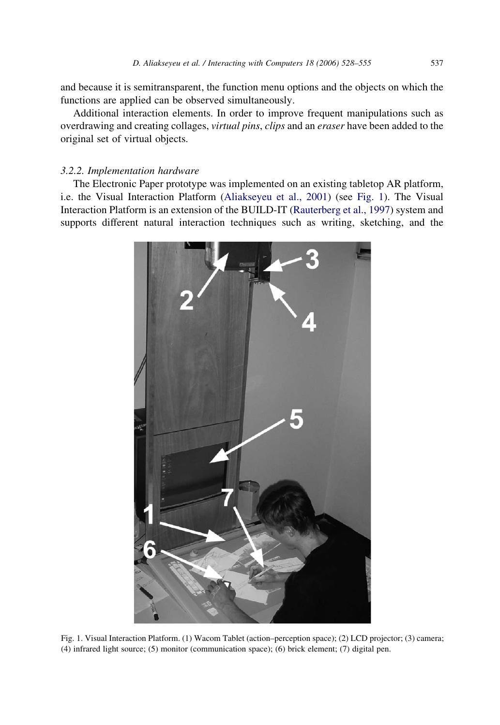<span id="page-9-0"></span>and because it is semitransparent, the function menu options and the objects on which the functions are applied can be observed simultaneously.

Additional interaction elements. In order to improve frequent manipulations such as overdrawing and creating collages, virtual pins, clips and an eraser have been added to the original set of virtual objects.

## 3.2.2. Implementation hardware

The Electronic Paper prototype was implemented on an existing tabletop AR platform, i.e. the Visual Interaction Platform ([Aliakseyeu et al., 2001\)](#page-25-0) (see Fig. 1). The Visual Interaction Platform is an extension of the BUILD-IT ([Rauterberg et al., 1997](#page-27-0)) system and supports different natural interaction techniques such as writing, sketching, and the



Fig. 1. Visual Interaction Platform. (1) Wacom Tablet (action–perception space); (2) LCD projector; (3) camera; (4) infrared light source; (5) monitor (communication space); (6) brick element; (7) digital pen.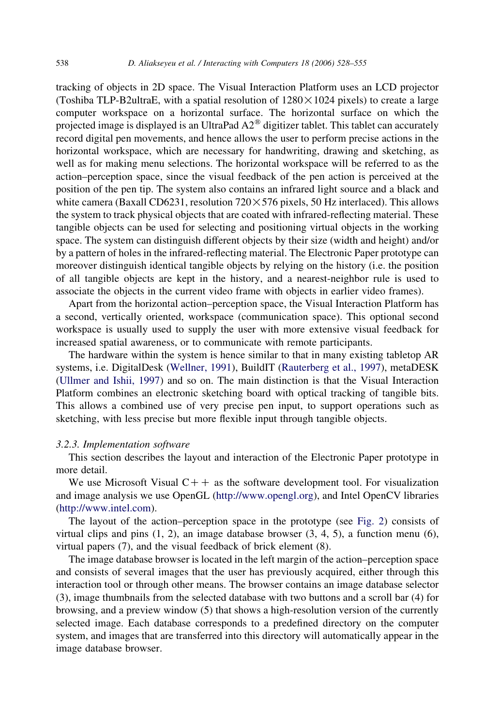tracking of objects in 2D space. The Visual Interaction Platform uses an LCD projector (Toshiba TLP-B2ultraE, with a spatial resolution of  $1280 \times 1024$  pixels) to create a large computer workspace on a horizontal surface. The horizontal surface on which the projected image is displayed is an UltraPad  $A2^{\circledast}$  digitizer tablet. This tablet can accurately record digital pen movements, and hence allows the user to perform precise actions in the horizontal workspace, which are necessary for handwriting, drawing and sketching, as well as for making menu selections. The horizontal workspace will be referred to as the action–perception space, since the visual feedback of the pen action is perceived at the position of the pen tip. The system also contains an infrared light source and a black and white camera (Baxall CD6231, resolution  $720 \times 576$  pixels, 50 Hz interlaced). This allows the system to track physical objects that are coated with infrared-reflecting material. These tangible objects can be used for selecting and positioning virtual objects in the working space. The system can distinguish different objects by their size (width and height) and/or by a pattern of holes in the infrared-reflecting material. The Electronic Paper prototype can moreover distinguish identical tangible objects by relying on the history (i.e. the position of all tangible objects are kept in the history, and a nearest-neighbor rule is used to associate the objects in the current video frame with objects in earlier video frames).

Apart from the horizontal action–perception space, the Visual Interaction Platform has a second, vertically oriented, workspace (communication space). This optional second workspace is usually used to supply the user with more extensive visual feedback for increased spatial awareness, or to communicate with remote participants.

The hardware within the system is hence similar to that in many existing tabletop AR systems, i.e. DigitalDesk [\(Wellner, 1991](#page-27-0)), BuildIT ([Rauterberg et al., 1997\)](#page-27-0), metaDESK ([Ullmer and Ishii, 1997\)](#page-27-0) and so on. The main distinction is that the Visual Interaction Platform combines an electronic sketching board with optical tracking of tangible bits. This allows a combined use of very precise pen input, to support operations such as sketching, with less precise but more flexible input through tangible objects.

## 3.2.3. Implementation software

This section describes the layout and interaction of the Electronic Paper prototype in more detail.

We use Microsoft Visual  $C++$  as the software development tool. For visualization and image analysis we use OpenGL ([http://www.opengl.org\)](http://www.opengl.org), and Intel OpenCV libraries (<http://www.intel.com>).

The layout of the action–perception space in the prototype (see [Fig. 2\)](#page-11-0) consists of virtual clips and pins  $(1, 2)$ , an image database browser  $(3, 4, 5)$ , a function menu  $(6)$ , virtual papers (7), and the visual feedback of brick element (8).

The image database browser is located in the left margin of the action–perception space and consists of several images that the user has previously acquired, either through this interaction tool or through other means. The browser contains an image database selector (3), image thumbnails from the selected database with two buttons and a scroll bar (4) for browsing, and a preview window (5) that shows a high-resolution version of the currently selected image. Each database corresponds to a predefined directory on the computer system, and images that are transferred into this directory will automatically appear in the image database browser.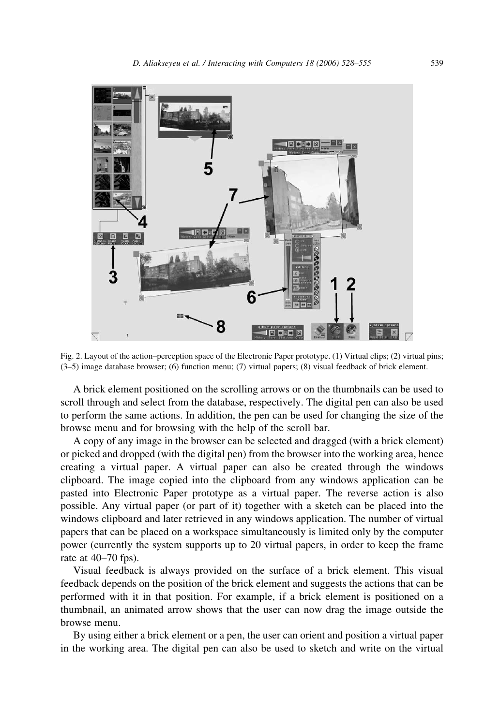<span id="page-11-0"></span>

Fig. 2. Layout of the action–perception space of the Electronic Paper prototype. (1) Virtual clips; (2) virtual pins; (3–5) image database browser; (6) function menu; (7) virtual papers; (8) visual feedback of brick element.

A brick element positioned on the scrolling arrows or on the thumbnails can be used to scroll through and select from the database, respectively. The digital pen can also be used to perform the same actions. In addition, the pen can be used for changing the size of the browse menu and for browsing with the help of the scroll bar.

A copy of any image in the browser can be selected and dragged (with a brick element) or picked and dropped (with the digital pen) from the browser into the working area, hence creating a virtual paper. A virtual paper can also be created through the windows clipboard. The image copied into the clipboard from any windows application can be pasted into Electronic Paper prototype as a virtual paper. The reverse action is also possible. Any virtual paper (or part of it) together with a sketch can be placed into the windows clipboard and later retrieved in any windows application. The number of virtual papers that can be placed on a workspace simultaneously is limited only by the computer power (currently the system supports up to 20 virtual papers, in order to keep the frame rate at 40–70 fps).

Visual feedback is always provided on the surface of a brick element. This visual feedback depends on the position of the brick element and suggests the actions that can be performed with it in that position. For example, if a brick element is positioned on a thumbnail, an animated arrow shows that the user can now drag the image outside the browse menu.

By using either a brick element or a pen, the user can orient and position a virtual paper in the working area. The digital pen can also be used to sketch and write on the virtual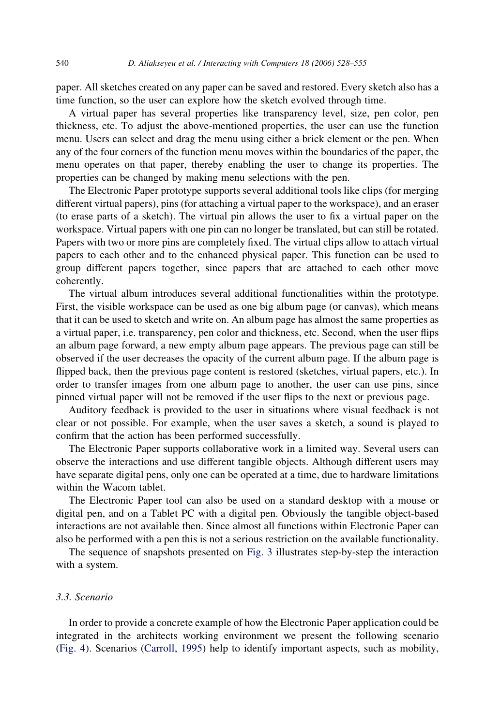paper. All sketches created on any paper can be saved and restored. Every sketch also has a time function, so the user can explore how the sketch evolved through time.

A virtual paper has several properties like transparency level, size, pen color, pen thickness, etc. To adjust the above-mentioned properties, the user can use the function menu. Users can select and drag the menu using either a brick element or the pen. When any of the four corners of the function menu moves within the boundaries of the paper, the menu operates on that paper, thereby enabling the user to change its properties. The properties can be changed by making menu selections with the pen.

The Electronic Paper prototype supports several additional tools like clips (for merging different virtual papers), pins (for attaching a virtual paper to the workspace), and an eraser (to erase parts of a sketch). The virtual pin allows the user to fix a virtual paper on the workspace. Virtual papers with one pin can no longer be translated, but can still be rotated. Papers with two or more pins are completely fixed. The virtual clips allow to attach virtual papers to each other and to the enhanced physical paper. This function can be used to group different papers together, since papers that are attached to each other move coherently.

The virtual album introduces several additional functionalities within the prototype. First, the visible workspace can be used as one big album page (or canvas), which means that it can be used to sketch and write on. An album page has almost the same properties as a virtual paper, i.e. transparency, pen color and thickness, etc. Second, when the user flips an album page forward, a new empty album page appears. The previous page can still be observed if the user decreases the opacity of the current album page. If the album page is flipped back, then the previous page content is restored (sketches, virtual papers, etc.). In order to transfer images from one album page to another, the user can use pins, since pinned virtual paper will not be removed if the user flips to the next or previous page.

Auditory feedback is provided to the user in situations where visual feedback is not clear or not possible. For example, when the user saves a sketch, a sound is played to confirm that the action has been performed successfully.

The Electronic Paper supports collaborative work in a limited way. Several users can observe the interactions and use different tangible objects. Although different users may have separate digital pens, only one can be operated at a time, due to hardware limitations within the Wacom tablet.

The Electronic Paper tool can also be used on a standard desktop with a mouse or digital pen, and on a Tablet PC with a digital pen. Obviously the tangible object-based interactions are not available then. Since almost all functions within Electronic Paper can also be performed with a pen this is not a serious restriction on the available functionality.

The sequence of snapshots presented on [Fig. 3](#page-13-0) illustrates step-by-step the interaction with a system.

## 3.3. Scenario

In order to provide a concrete example of how the Electronic Paper application could be integrated in the architects working environment we present the following scenario ([Fig. 4](#page-14-0)). Scenarios [\(Carroll, 1995\)](#page-25-0) help to identify important aspects, such as mobility,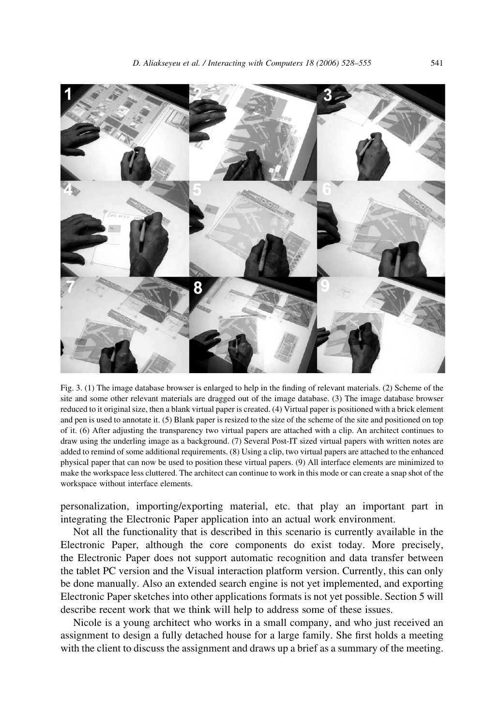<span id="page-13-0"></span>

Fig. 3. (1) The image database browser is enlarged to help in the finding of relevant materials. (2) Scheme of the site and some other relevant materials are dragged out of the image database. (3) The image database browser reduced to it original size, then a blank virtual paper is created. (4) Virtual paper is positioned with a brick element and pen is used to annotate it. (5) Blank paper is resized to the size of the scheme of the site and positioned on top of it. (6) After adjusting the transparency two virtual papers are attached with a clip. An architect continues to draw using the underling image as a background. (7) Several Post-IT sized virtual papers with written notes are added to remind of some additional requirements. (8) Using a clip, two virtual papers are attached to the enhanced physical paper that can now be used to position these virtual papers. (9) All interface elements are minimized to make the workspace less cluttered. The architect can continue to work in this mode or can create a snap shot of the workspace without interface elements.

personalization, importing/exporting material, etc. that play an important part in integrating the Electronic Paper application into an actual work environment.

Not all the functionality that is described in this scenario is currently available in the Electronic Paper, although the core components do exist today. More precisely, the Electronic Paper does not support automatic recognition and data transfer between the tablet PC version and the Visual interaction platform version. Currently, this can only be done manually. Also an extended search engine is not yet implemented, and exporting Electronic Paper sketches into other applications formats is not yet possible. Section 5 will describe recent work that we think will help to address some of these issues.

Nicole is a young architect who works in a small company, and who just received an assignment to design a fully detached house for a large family. She first holds a meeting with the client to discuss the assignment and draws up a brief as a summary of the meeting.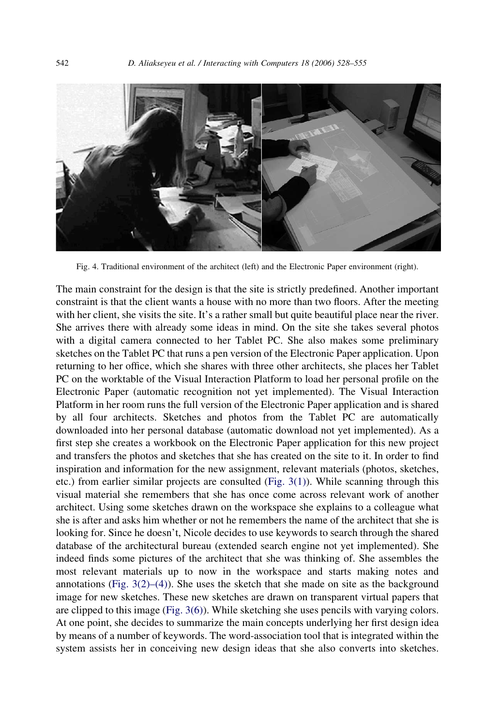<span id="page-14-0"></span>

Fig. 4. Traditional environment of the architect (left) and the Electronic Paper environment (right).

The main constraint for the design is that the site is strictly predefined. Another important constraint is that the client wants a house with no more than two floors. After the meeting with her client, she visits the site. It's a rather small but quite beautiful place near the river. She arrives there with already some ideas in mind. On the site she takes several photos with a digital camera connected to her Tablet PC. She also makes some preliminary sketches on the Tablet PC that runs a pen version of the Electronic Paper application. Upon returning to her office, which she shares with three other architects, she places her Tablet PC on the worktable of the Visual Interaction Platform to load her personal profile on the Electronic Paper (automatic recognition not yet implemented). The Visual Interaction Platform in her room runs the full version of the Electronic Paper application and is shared by all four architects. Sketches and photos from the Tablet PC are automatically downloaded into her personal database (automatic download not yet implemented). As a first step she creates a workbook on the Electronic Paper application for this new project and transfers the photos and sketches that she has created on the site to it. In order to find inspiration and information for the new assignment, relevant materials (photos, sketches, etc.) from earlier similar projects are consulted [\(Fig. 3\(1\)\)](#page-13-0). While scanning through this visual material she remembers that she has once come across relevant work of another architect. Using some sketches drawn on the workspace she explains to a colleague what she is after and asks him whether or not he remembers the name of the architect that she is looking for. Since he doesn't, Nicole decides to use keywords to search through the shared database of the architectural bureau (extended search engine not yet implemented). She indeed finds some pictures of the architect that she was thinking of. She assembles the most relevant materials up to now in the workspace and starts making notes and annotations (Fig.  $3(2)$ –(4)). She uses the sketch that she made on site as the background image for new sketches. These new sketches are drawn on transparent virtual papers that are clipped to this image ([Fig. 3\(6\)](#page-13-0)). While sketching she uses pencils with varying colors. At one point, she decides to summarize the main concepts underlying her first design idea by means of a number of keywords. The word-association tool that is integrated within the system assists her in conceiving new design ideas that she also converts into sketches.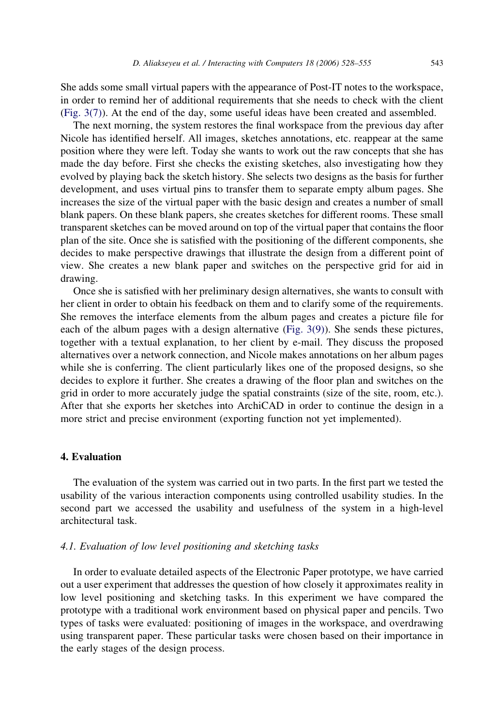She adds some small virtual papers with the appearance of Post-IT notes to the workspace, in order to remind her of additional requirements that she needs to check with the client [\(Fig. 3\(7\)](#page-13-0)). At the end of the day, some useful ideas have been created and assembled.

The next morning, the system restores the final workspace from the previous day after Nicole has identified herself. All images, sketches annotations, etc. reappear at the same position where they were left. Today she wants to work out the raw concepts that she has made the day before. First she checks the existing sketches, also investigating how they evolved by playing back the sketch history. She selects two designs as the basis for further development, and uses virtual pins to transfer them to separate empty album pages. She increases the size of the virtual paper with the basic design and creates a number of small blank papers. On these blank papers, she creates sketches for different rooms. These small transparent sketches can be moved around on top of the virtual paper that contains the floor plan of the site. Once she is satisfied with the positioning of the different components, she decides to make perspective drawings that illustrate the design from a different point of view. She creates a new blank paper and switches on the perspective grid for aid in drawing.

Once she is satisfied with her preliminary design alternatives, she wants to consult with her client in order to obtain his feedback on them and to clarify some of the requirements. She removes the interface elements from the album pages and creates a picture file for each of the album pages with a design alternative [\(Fig. 3\(9\)](#page-13-0)). She sends these pictures, together with a textual explanation, to her client by e-mail. They discuss the proposed alternatives over a network connection, and Nicole makes annotations on her album pages while she is conferring. The client particularly likes one of the proposed designs, so she decides to explore it further. She creates a drawing of the floor plan and switches on the grid in order to more accurately judge the spatial constraints (size of the site, room, etc.). After that she exports her sketches into ArchiCAD in order to continue the design in a more strict and precise environment (exporting function not yet implemented).

## 4. Evaluation

The evaluation of the system was carried out in two parts. In the first part we tested the usability of the various interaction components using controlled usability studies. In the second part we accessed the usability and usefulness of the system in a high-level architectural task.

## 4.1. Evaluation of low level positioning and sketching tasks

In order to evaluate detailed aspects of the Electronic Paper prototype, we have carried out a user experiment that addresses the question of how closely it approximates reality in low level positioning and sketching tasks. In this experiment we have compared the prototype with a traditional work environment based on physical paper and pencils. Two types of tasks were evaluated: positioning of images in the workspace, and overdrawing using transparent paper. These particular tasks were chosen based on their importance in the early stages of the design process.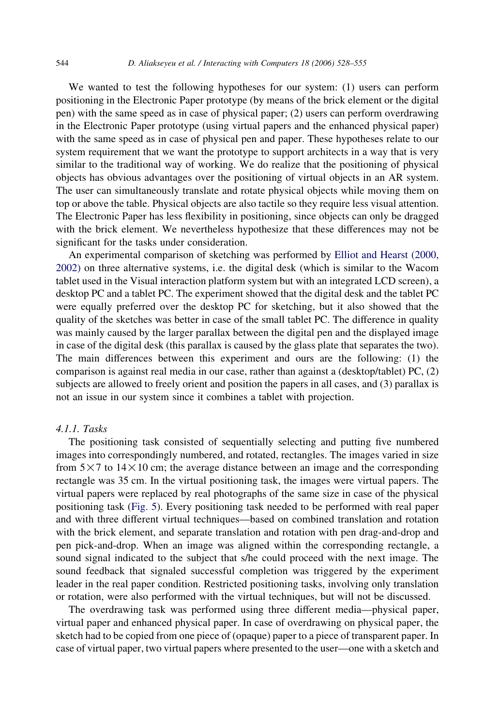We wanted to test the following hypotheses for our system: (1) users can perform positioning in the Electronic Paper prototype (by means of the brick element or the digital pen) with the same speed as in case of physical paper; (2) users can perform overdrawing in the Electronic Paper prototype (using virtual papers and the enhanced physical paper) with the same speed as in case of physical pen and paper. These hypotheses relate to our system requirement that we want the prototype to support architects in a way that is very similar to the traditional way of working. We do realize that the positioning of physical objects has obvious advantages over the positioning of virtual objects in an AR system. The user can simultaneously translate and rotate physical objects while moving them on top or above the table. Physical objects are also tactile so they require less visual attention. The Electronic Paper has less flexibility in positioning, since objects can only be dragged with the brick element. We nevertheless hypothesize that these differences may not be significant for the tasks under consideration.

An experimental comparison of sketching was performed by [Elliot and Hearst \(2000,](#page-25-0) [2002\)](#page-25-0) on three alternative systems, i.e. the digital desk (which is similar to the Wacom tablet used in the Visual interaction platform system but with an integrated LCD screen), a desktop PC and a tablet PC. The experiment showed that the digital desk and the tablet PC were equally preferred over the desktop PC for sketching, but it also showed that the quality of the sketches was better in case of the small tablet PC. The difference in quality was mainly caused by the larger parallax between the digital pen and the displayed image in case of the digital desk (this parallax is caused by the glass plate that separates the two). The main differences between this experiment and ours are the following: (1) the comparison is against real media in our case, rather than against a (desktop/tablet) PC, (2) subjects are allowed to freely orient and position the papers in all cases, and (3) parallax is not an issue in our system since it combines a tablet with projection.

## 4.1.1. Tasks

The positioning task consisted of sequentially selecting and putting five numbered images into correspondingly numbered, and rotated, rectangles. The images varied in size from  $5 \times 7$  to  $14 \times 10$  cm; the average distance between an image and the corresponding rectangle was 35 cm. In the virtual positioning task, the images were virtual papers. The virtual papers were replaced by real photographs of the same size in case of the physical positioning task ([Fig. 5\)](#page-17-0). Every positioning task needed to be performed with real paper and with three different virtual techniques—based on combined translation and rotation with the brick element, and separate translation and rotation with pen drag-and-drop and pen pick-and-drop. When an image was aligned within the corresponding rectangle, a sound signal indicated to the subject that s/he could proceed with the next image. The sound feedback that signaled successful completion was triggered by the experiment leader in the real paper condition. Restricted positioning tasks, involving only translation or rotation, were also performed with the virtual techniques, but will not be discussed.

The overdrawing task was performed using three different media—physical paper, virtual paper and enhanced physical paper. In case of overdrawing on physical paper, the sketch had to be copied from one piece of (opaque) paper to a piece of transparent paper. In case of virtual paper, two virtual papers where presented to the user—one with a sketch and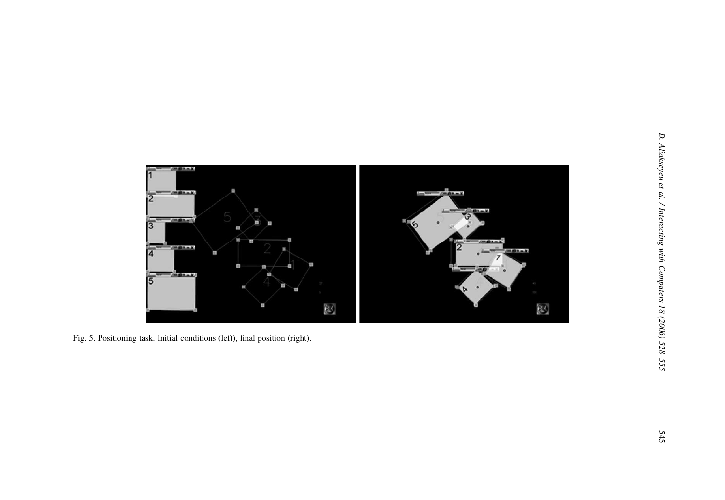<span id="page-17-0"></span>

Fig. 5. Positioning task. Initial conditions (left), final position (right).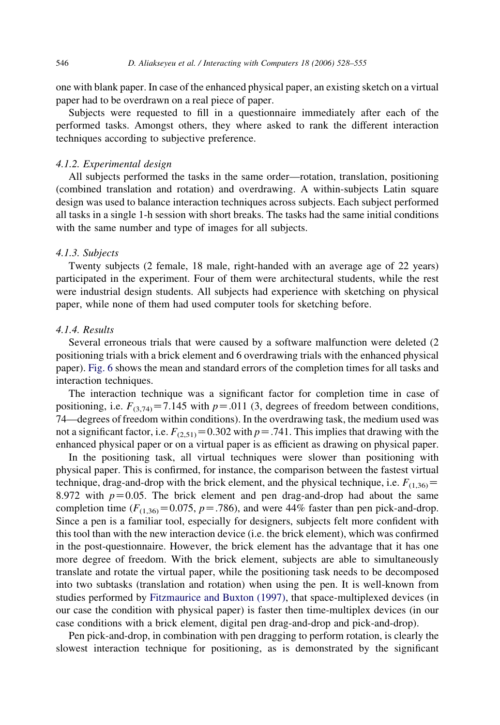one with blank paper. In case of the enhanced physical paper, an existing sketch on a virtual paper had to be overdrawn on a real piece of paper.

Subjects were requested to fill in a questionnaire immediately after each of the performed tasks. Amongst others, they where asked to rank the different interaction techniques according to subjective preference.

#### 4.1.2. Experimental design

All subjects performed the tasks in the same order—rotation, translation, positioning (combined translation and rotation) and overdrawing. A within-subjects Latin square design was used to balance interaction techniques across subjects. Each subject performed all tasks in a single 1-h session with short breaks. The tasks had the same initial conditions with the same number and type of images for all subjects.

#### 4.1.3. Subjects

Twenty subjects (2 female, 18 male, right-handed with an average age of 22 years) participated in the experiment. Four of them were architectural students, while the rest were industrial design students. All subjects had experience with sketching on physical paper, while none of them had used computer tools for sketching before.

### 4.1.4. Results

Several erroneous trials that were caused by a software malfunction were deleted (2 positioning trials with a brick element and 6 overdrawing trials with the enhanced physical paper). [Fig. 6](#page-19-0) shows the mean and standard errors of the completion times for all tasks and interaction techniques.

The interaction technique was a significant factor for completion time in case of positioning, i.e.  $F_{(3,74)} = 7.145$  with  $p = .011$  (3, degrees of freedom between conditions, 74—degrees of freedom within conditions). In the overdrawing task, the medium used was not a significant factor, i.e.  $F_{(2,51)}=0.302$  with  $p=.741$ . This implies that drawing with the enhanced physical paper or on a virtual paper is as efficient as drawing on physical paper.

In the positioning task, all virtual techniques were slower than positioning with physical paper. This is confirmed, for instance, the comparison between the fastest virtual technique, drag-and-drop with the brick element, and the physical technique, i.e.  $F_{(1,36)}=$ 8.972 with  $p=0.05$ . The brick element and pen drag-and-drop had about the same completion time  $(F_{(1,36)}=0.075, p=.786)$ , and were 44% faster than pen pick-and-drop. Since a pen is a familiar tool, especially for designers, subjects felt more confident with this tool than with the new interaction device (i.e. the brick element), which was confirmed in the post-questionnaire. However, the brick element has the advantage that it has one more degree of freedom. With the brick element, subjects are able to simultaneously translate and rotate the virtual paper, while the positioning task needs to be decomposed into two subtasks (translation and rotation) when using the pen. It is well-known from studies performed by [Fitzmaurice and Buxton \(1997\)](#page-26-0), that space-multiplexed devices (in our case the condition with physical paper) is faster then time-multiplex devices (in our case conditions with a brick element, digital pen drag-and-drop and pick-and-drop).

Pen pick-and-drop, in combination with pen dragging to perform rotation, is clearly the slowest interaction technique for positioning, as is demonstrated by the significant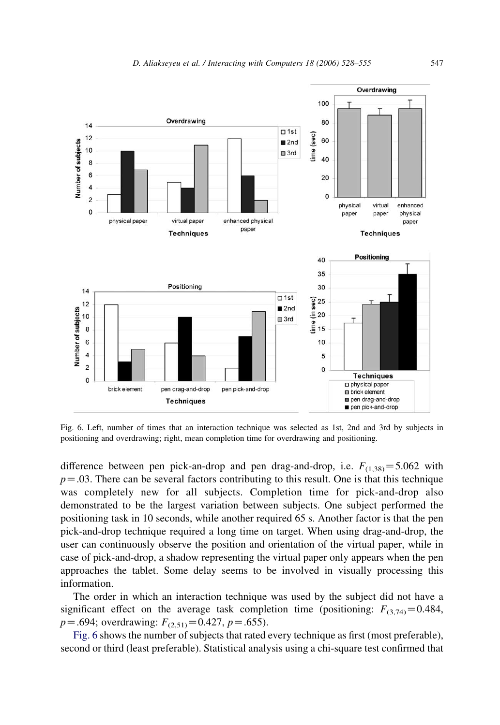<span id="page-19-0"></span>

Fig. 6. Left, number of times that an interaction technique was selected as 1st, 2nd and 3rd by subjects in positioning and overdrawing; right, mean completion time for overdrawing and positioning.

difference between pen pick-an-drop and pen drag-and-drop, i.e.  $F_{(1,38)} = 5.062$  with  $p = 0.03$ . There can be several factors contributing to this result. One is that this technique was completely new for all subjects. Completion time for pick-and-drop also demonstrated to be the largest variation between subjects. One subject performed the positioning task in 10 seconds, while another required 65 s. Another factor is that the pen pick-and-drop technique required a long time on target. When using drag-and-drop, the user can continuously observe the position and orientation of the virtual paper, while in case of pick-and-drop, a shadow representing the virtual paper only appears when the pen approaches the tablet. Some delay seems to be involved in visually processing this information.

The order in which an interaction technique was used by the subject did not have a significant effect on the average task completion time (positioning:  $F_{(3,74)} = 0.484$ ,  $p = .694$ ; overdrawing:  $F_{(2,51)} = 0.427$ ,  $p = .655$ ).

Fig. 6 shows the number of subjects that rated every technique as first (most preferable), second or third (least preferable). Statistical analysis using a chi-square test confirmed that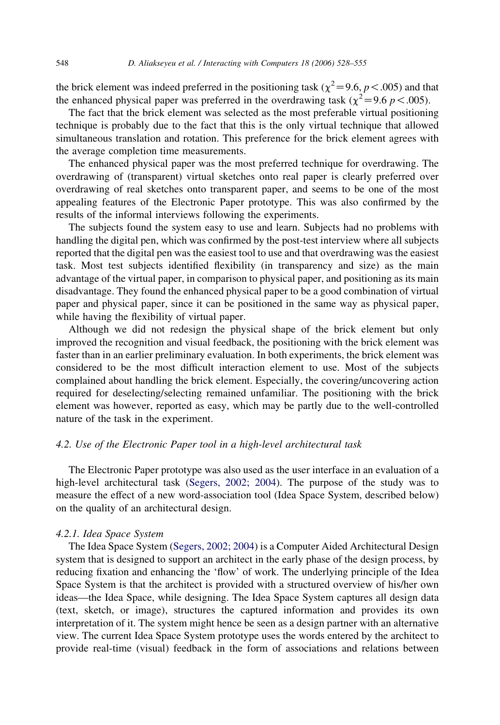the brick element was indeed preferred in the positioning task ( $\chi^2$  = 9.6, p < .005) and that the enhanced physical paper was preferred in the overdrawing task ( $\chi^2$  = 9.6 p < .005).

The fact that the brick element was selected as the most preferable virtual positioning technique is probably due to the fact that this is the only virtual technique that allowed simultaneous translation and rotation. This preference for the brick element agrees with the average completion time measurements.

The enhanced physical paper was the most preferred technique for overdrawing. The overdrawing of (transparent) virtual sketches onto real paper is clearly preferred over overdrawing of real sketches onto transparent paper, and seems to be one of the most appealing features of the Electronic Paper prototype. This was also confirmed by the results of the informal interviews following the experiments.

The subjects found the system easy to use and learn. Subjects had no problems with handling the digital pen, which was confirmed by the post-test interview where all subjects reported that the digital pen was the easiest tool to use and that overdrawing was the easiest task. Most test subjects identified flexibility (in transparency and size) as the main advantage of the virtual paper, in comparison to physical paper, and positioning as its main disadvantage. They found the enhanced physical paper to be a good combination of virtual paper and physical paper, since it can be positioned in the same way as physical paper, while having the flexibility of virtual paper.

Although we did not redesign the physical shape of the brick element but only improved the recognition and visual feedback, the positioning with the brick element was faster than in an earlier preliminary evaluation. In both experiments, the brick element was considered to be the most difficult interaction element to use. Most of the subjects complained about handling the brick element. Especially, the covering/uncovering action required for deselecting/selecting remained unfamiliar. The positioning with the brick element was however, reported as easy, which may be partly due to the well-controlled nature of the task in the experiment.

## 4.2. Use of the Electronic Paper tool in a high-level architectural task

The Electronic Paper prototype was also used as the user interface in an evaluation of a high-level architectural task [\(Segers, 2002; 2004\)](#page-27-0). The purpose of the study was to measure the effect of a new word-association tool (Idea Space System, described below) on the quality of an architectural design.

#### 4.2.1. Idea Space System

The Idea Space System [\(Segers, 2002; 2004](#page-27-0)) is a Computer Aided Architectural Design system that is designed to support an architect in the early phase of the design process, by reducing fixation and enhancing the 'flow' of work. The underlying principle of the Idea Space System is that the architect is provided with a structured overview of his/her own ideas—the Idea Space, while designing. The Idea Space System captures all design data (text, sketch, or image), structures the captured information and provides its own interpretation of it. The system might hence be seen as a design partner with an alternative view. The current Idea Space System prototype uses the words entered by the architect to provide real-time (visual) feedback in the form of associations and relations between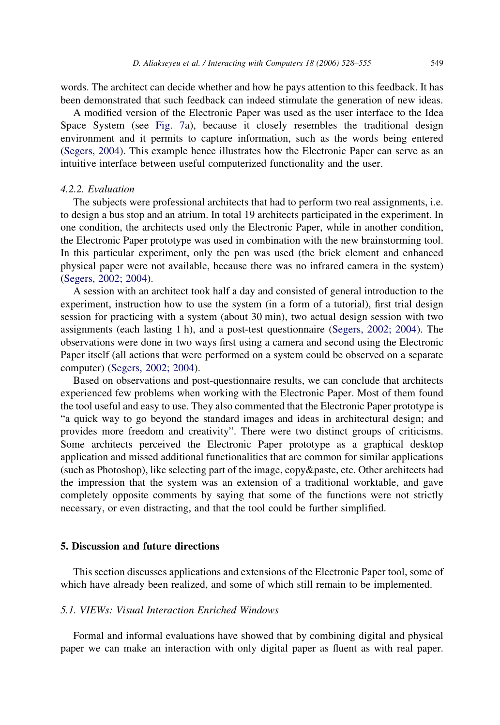words. The architect can decide whether and how he pays attention to this feedback. It has been demonstrated that such feedback can indeed stimulate the generation of new ideas.

A modified version of the Electronic Paper was used as the user interface to the Idea Space System (see [Fig. 7](#page-22-0)a), because it closely resembles the traditional design environment and it permits to capture information, such as the words being entered [\(Segers, 2004](#page-27-0)). This example hence illustrates how the Electronic Paper can serve as an intuitive interface between useful computerized functionality and the user.

#### 4.2.2. Evaluation

The subjects were professional architects that had to perform two real assignments, i.e. to design a bus stop and an atrium. In total 19 architects participated in the experiment. In one condition, the architects used only the Electronic Paper, while in another condition, the Electronic Paper prototype was used in combination with the new brainstorming tool. In this particular experiment, only the pen was used (the brick element and enhanced physical paper were not available, because there was no infrared camera in the system) [\(Segers, 2002; 2004\)](#page-27-0).

A session with an architect took half a day and consisted of general introduction to the experiment, instruction how to use the system (in a form of a tutorial), first trial design session for practicing with a system (about 30 min), two actual design session with two assignments (each lasting 1 h), and a post-test questionnaire [\(Segers, 2002; 2004](#page-27-0)). The observations were done in two ways first using a camera and second using the Electronic Paper itself (all actions that were performed on a system could be observed on a separate computer) [\(Segers, 2002; 2004\)](#page-27-0).

Based on observations and post-questionnaire results, we can conclude that architects experienced few problems when working with the Electronic Paper. Most of them found the tool useful and easy to use. They also commented that the Electronic Paper prototype is "a quick way to go beyond the standard images and ideas in architectural design; and provides more freedom and creativity". There were two distinct groups of criticisms. Some architects perceived the Electronic Paper prototype as a graphical desktop application and missed additional functionalities that are common for similar applications (such as Photoshop), like selecting part of the image, copy&paste, etc. Other architects had the impression that the system was an extension of a traditional worktable, and gave completely opposite comments by saying that some of the functions were not strictly necessary, or even distracting, and that the tool could be further simplified.

## 5. Discussion and future directions

This section discusses applications and extensions of the Electronic Paper tool, some of which have already been realized, and some of which still remain to be implemented.

## 5.1. VIEWs: Visual Interaction Enriched Windows

Formal and informal evaluations have showed that by combining digital and physical paper we can make an interaction with only digital paper as fluent as with real paper.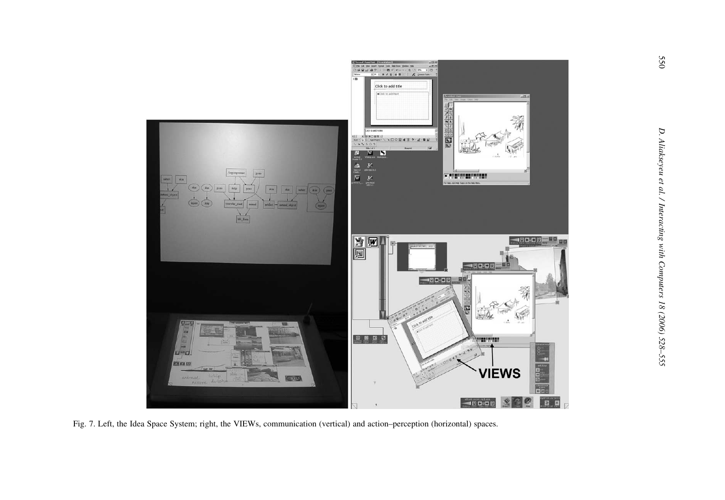<span id="page-22-0"></span>

Fig. 7. Left, the Idea Space System; right, the VIEWs, communication (vertical) and action–perception (horizontal) spaces.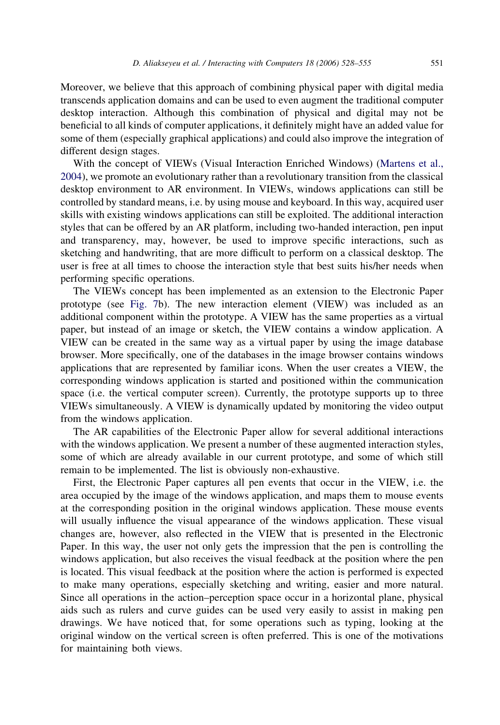Moreover, we believe that this approach of combining physical paper with digital media transcends application domains and can be used to even augment the traditional computer desktop interaction. Although this combination of physical and digital may not be beneficial to all kinds of computer applications, it definitely might have an added value for some of them (especially graphical applications) and could also improve the integration of different design stages.

With the concept of VIEWs (Visual Interaction Enriched Windows) [\(Martens et al.,](#page-26-0) [2004\)](#page-26-0), we promote an evolutionary rather than a revolutionary transition from the classical desktop environment to AR environment. In VIEWs, windows applications can still be controlled by standard means, i.e. by using mouse and keyboard. In this way, acquired user skills with existing windows applications can still be exploited. The additional interaction styles that can be offered by an AR platform, including two-handed interaction, pen input and transparency, may, however, be used to improve specific interactions, such as sketching and handwriting, that are more difficult to perform on a classical desktop. The user is free at all times to choose the interaction style that best suits his/her needs when performing specific operations.

The VIEWs concept has been implemented as an extension to the Electronic Paper prototype (see [Fig. 7](#page-22-0)b). The new interaction element (VIEW) was included as an additional component within the prototype. A VIEW has the same properties as a virtual paper, but instead of an image or sketch, the VIEW contains a window application. A VIEW can be created in the same way as a virtual paper by using the image database browser. More specifically, one of the databases in the image browser contains windows applications that are represented by familiar icons. When the user creates a VIEW, the corresponding windows application is started and positioned within the communication space (i.e. the vertical computer screen). Currently, the prototype supports up to three VIEWs simultaneously. A VIEW is dynamically updated by monitoring the video output from the windows application.

The AR capabilities of the Electronic Paper allow for several additional interactions with the windows application. We present a number of these augmented interaction styles, some of which are already available in our current prototype, and some of which still remain to be implemented. The list is obviously non-exhaustive.

First, the Electronic Paper captures all pen events that occur in the VIEW, i.e. the area occupied by the image of the windows application, and maps them to mouse events at the corresponding position in the original windows application. These mouse events will usually influence the visual appearance of the windows application. These visual changes are, however, also reflected in the VIEW that is presented in the Electronic Paper. In this way, the user not only gets the impression that the pen is controlling the windows application, but also receives the visual feedback at the position where the pen is located. This visual feedback at the position where the action is performed is expected to make many operations, especially sketching and writing, easier and more natural. Since all operations in the action–perception space occur in a horizontal plane, physical aids such as rulers and curve guides can be used very easily to assist in making pen drawings. We have noticed that, for some operations such as typing, looking at the original window on the vertical screen is often preferred. This is one of the motivations for maintaining both views.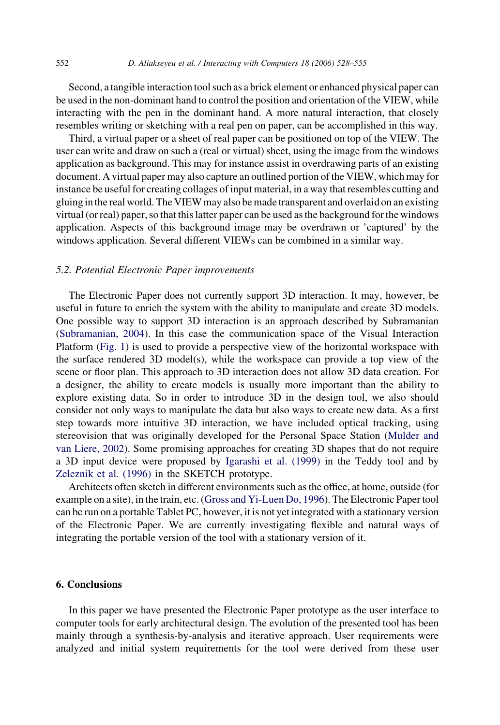Second, a tangible interaction tool such as a brick element or enhanced physical paper can be used in the non-dominant hand to control the position and orientation of the VIEW, while interacting with the pen in the dominant hand. A more natural interaction, that closely resembles writing or sketching with a real pen on paper, can be accomplished in this way.

Third, a virtual paper or a sheet of real paper can be positioned on top of the VIEW. The user can write and draw on such a (real or virtual) sheet, using the image from the windows application as background. This may for instance assist in overdrawing parts of an existing document. A virtual paper may also capture an outlined portion of the VIEW, which may for instance be useful for creating collages of input material, in a way that resembles cutting and gluing in the real world. The VIEW may also be made transparent and overlaid on an existing virtual (or real) paper, so that this latter paper can be used as the background for the windows application. Aspects of this background image may be overdrawn or 'captured' by the windows application. Several different VIEWs can be combined in a similar way.

#### 5.2. Potential Electronic Paper improvements

The Electronic Paper does not currently support 3D interaction. It may, however, be useful in future to enrich the system with the ability to manipulate and create 3D models. One possible way to support 3D interaction is an approach described by Subramanian ([Subramanian, 2004](#page-27-0)). In this case the communication space of the Visual Interaction Platform ([Fig. 1](#page-9-0)) is used to provide a perspective view of the horizontal workspace with the surface rendered 3D model(s), while the workspace can provide a top view of the scene or floor plan. This approach to 3D interaction does not allow 3D data creation. For a designer, the ability to create models is usually more important than the ability to explore existing data. So in order to introduce 3D in the design tool, we also should consider not only ways to manipulate the data but also ways to create new data. As a first step towards more intuitive 3D interaction, we have included optical tracking, using stereovision that was originally developed for the Personal Space Station [\(Mulder and](#page-26-0) [van Liere, 2002](#page-26-0)). Some promising approaches for creating 3D shapes that do not require a 3D input device were proposed by [Igarashi et al. \(1999\)](#page-26-0) in the Teddy tool and by [Zeleznik et al. \(1996\)](#page-27-0) in the SKETCH prototype.

Architects often sketch in different environments such as the office, at home, outside (for example on a site), in the train, etc. [\(Gross and Yi-Luen Do, 1996\)](#page-26-0). The Electronic Paper tool can be run on a portable Tablet PC, however, it is not yet integrated with a stationary version of the Electronic Paper. We are currently investigating flexible and natural ways of integrating the portable version of the tool with a stationary version of it.

#### 6. Conclusions

In this paper we have presented the Electronic Paper prototype as the user interface to computer tools for early architectural design. The evolution of the presented tool has been mainly through a synthesis-by-analysis and iterative approach. User requirements were analyzed and initial system requirements for the tool were derived from these user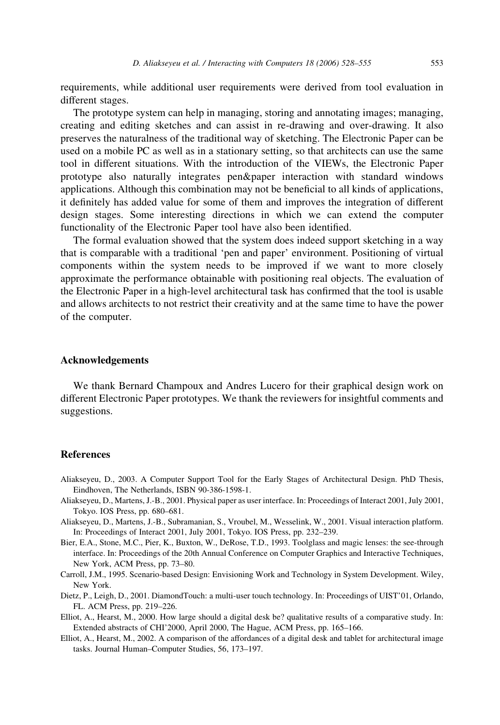<span id="page-25-0"></span>requirements, while additional user requirements were derived from tool evaluation in different stages.

The prototype system can help in managing, storing and annotating images; managing, creating and editing sketches and can assist in re-drawing and over-drawing. It also preserves the naturalness of the traditional way of sketching. The Electronic Paper can be used on a mobile PC as well as in a stationary setting, so that architects can use the same tool in different situations. With the introduction of the VIEWs, the Electronic Paper prototype also naturally integrates pen&paper interaction with standard windows applications. Although this combination may not be beneficial to all kinds of applications, it definitely has added value for some of them and improves the integration of different design stages. Some interesting directions in which we can extend the computer functionality of the Electronic Paper tool have also been identified.

The formal evaluation showed that the system does indeed support sketching in a way that is comparable with a traditional 'pen and paper' environment. Positioning of virtual components within the system needs to be improved if we want to more closely approximate the performance obtainable with positioning real objects. The evaluation of the Electronic Paper in a high-level architectural task has confirmed that the tool is usable and allows architects to not restrict their creativity and at the same time to have the power of the computer.

#### Acknowledgements

We thank Bernard Champoux and Andres Lucero for their graphical design work on different Electronic Paper prototypes. We thank the reviewers for insightful comments and suggestions.

### References

- Aliakseyeu, D., 2003. A Computer Support Tool for the Early Stages of Architectural Design. PhD Thesis, Eindhoven, The Netherlands, ISBN 90-386-1598-1.
- Aliakseyeu, D., Martens, J.-B., 2001. Physical paper as user interface. In: Proceedings of Interact 2001, July 2001, Tokyo. IOS Press, pp. 680–681.
- Aliakseyeu, D., Martens, J.-B., Subramanian, S., Vroubel, M., Wesselink, W., 2001. Visual interaction platform. In: Proceedings of Interact 2001, July 2001, Tokyo. IOS Press, pp. 232–239.
- Bier, E.A., Stone, M.C., Pier, K., Buxton, W., DeRose, T.D., 1993. Toolglass and magic lenses: the see-through interface. In: Proceedings of the 20th Annual Conference on Computer Graphics and Interactive Techniques, New York, ACM Press, pp. 73–80.
- Carroll, J.M., 1995. Scenario-based Design: Envisioning Work and Technology in System Development. Wiley, New York.
- Dietz, P., Leigh, D., 2001. DiamondTouch: a multi-user touch technology. In: Proceedings of UIST'01, Orlando, FL. ACM Press, pp. 219–226.
- Elliot, A., Hearst, M., 2000. How large should a digital desk be? qualitative results of a comparative study. In: Extended abstracts of CHI'2000, April 2000, The Hague, ACM Press, pp. 165–166.
- Elliot, A., Hearst, M., 2002. A comparison of the affordances of a digital desk and tablet for architectural image tasks. Journal Human–Computer Studies, 56, 173–197.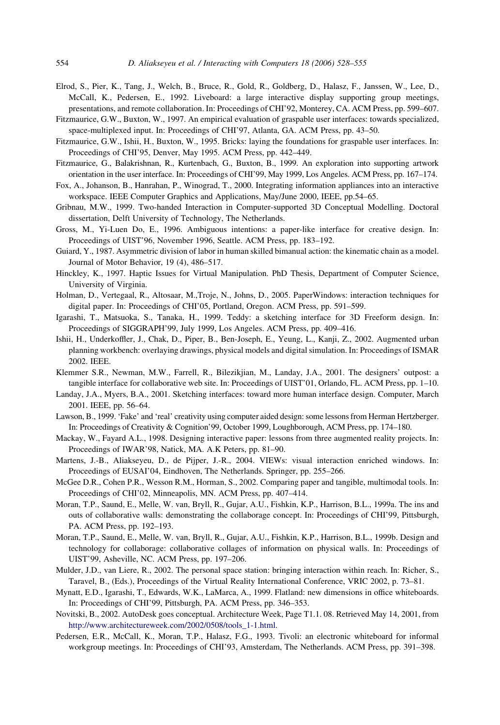- <span id="page-26-0"></span>Elrod, S., Pier, K., Tang, J., Welch, B., Bruce, R., Gold, R., Goldberg, D., Halasz, F., Janssen, W., Lee, D., McCall, K., Pedersen, E., 1992. Liveboard: a large interactive display supporting group meetings, presentations, and remote collaboration. In: Proceedings of CHI'92, Monterey, CA. ACM Press, pp. 599–607.
- Fitzmaurice, G.W., Buxton, W., 1997. An empirical evaluation of graspable user interfaces: towards specialized, space-multiplexed input. In: Proceedings of CHI'97, Atlanta, GA. ACM Press, pp. 43–50.
- Fitzmaurice, G.W., Ishii, H., Buxton, W., 1995. Bricks: laying the foundations for graspable user interfaces. In: Proceedings of CHI'95, Denver, May 1995. ACM Press, pp. 442–449.
- Fitzmaurice, G., Balakrishnan, R., Kurtenbach, G., Buxton, B., 1999. An exploration into supporting artwork orientation in the user interface. In: Proceedings of CHI'99, May 1999, Los Angeles. ACM Press, pp. 167–174.
- Fox, A., Johanson, B., Hanrahan, P., Winograd, T., 2000. Integrating information appliances into an interactive workspace. IEEE Computer Graphics and Applications, May/June 2000, IEEE, pp.54–65.
- Gribnau, M.W., 1999. Two-handed Interaction in Computer-supported 3D Conceptual Modelling. Doctoral dissertation, Delft University of Technology, The Netherlands.
- Gross, M., Yi-Luen Do, E., 1996. Ambiguous intentions: a paper-like interface for creative design. In: Proceedings of UIST'96, November 1996, Seattle. ACM Press, pp. 183–192.
- Guiard, Y., 1987. Asymmetric division of labor in human skilled bimanual action: the kinematic chain as a model. Journal of Motor Behavior, 19 (4), 486–517.
- Hinckley, K., 1997. Haptic Issues for Virtual Manipulation. PhD Thesis, Department of Computer Science, University of Virginia.
- Holman, D., Vertegaal, R., Altosaar, M.,Troje, N., Johns, D., 2005. PaperWindows: interaction techniques for digital paper. In: Proceedings of CHI'05, Portland, Oregon. ACM Press, pp. 591–599.
- Igarashi, T., Matsuoka, S., Tanaka, H., 1999. Teddy: a sketching interface for 3D Freeform design. In: Proceedings of SIGGRAPH'99, July 1999, Los Angeles. ACM Press, pp. 409–416.
- Ishii, H., Underkoffler, J., Chak, D., Piper, B., Ben-Joseph, E., Yeung, L., Kanji, Z., 2002. Augmented urban planning workbench: overlaying drawings, physical models and digital simulation. In: Proceedings of ISMAR 2002. IEEE.
- Klemmer S.R., Newman, M.W., Farrell, R., Bilezikjian, M., Landay, J.A., 2001. The designers' outpost: a tangible interface for collaborative web site. In: Proceedings of UIST'01, Orlando, FL. ACM Press, pp. 1–10.
- Landay, J.A., Myers, B.A., 2001. Sketching interfaces: toward more human interface design. Computer, March 2001. IEEE, pp. 56–64.
- Lawson, B., 1999. 'Fake' and 'real' creativity using computer aided design: some lessons from Herman Hertzberger. In: Proceedings of Creativity & Cognition'99, October 1999, Loughborough, ACM Press, pp. 174–180.
- Mackay, W., Fayard A.L., 1998. Designing interactive paper: lessons from three augmented reality projects. In: Proceedings of IWAR'98, Natick, MA. A.K Peters, pp. 81–90.
- Martens, J.-B., Aliakseyeu, D., de Pijper, J.-R., 2004. VIEWs: visual interaction enriched windows. In: Proceedings of EUSAI'04, Eindhoven, The Netherlands. Springer, pp. 255–266.
- McGee D.R., Cohen P.R., Wesson R.M., Horman, S., 2002. Comparing paper and tangible, multimodal tools. In: Proceedings of CHI'02, Minneapolis, MN. ACM Press, pp. 407–414.
- Moran, T.P., Saund, E., Melle, W. van, Bryll, R., Gujar, A.U., Fishkin, K.P., Harrison, B.L., 1999a. The ins and outs of collaborative walls: demonstrating the collaborage concept. In: Proceedings of CHI'99, Pittsburgh, PA. ACM Press, pp. 192–193.
- Moran, T.P., Saund, E., Melle, W. van, Bryll, R., Gujar, A.U., Fishkin, K.P., Harrison, B.L., 1999b. Design and technology for collaborage: collaborative collages of information on physical walls. In: Proceedings of UIST'99, Asheville, NC. ACM Press, pp. 197–206.
- Mulder, J.D., van Liere, R., 2002. The personal space station: bringing interaction within reach. In: Richer, S., Taravel, B., (Eds.), Proceedings of the Virtual Reality International Conference, VRIC 2002, p. 73–81.
- Mynatt, E.D., Igarashi, T., Edwards, W.K., LaMarca, A., 1999. Flatland: new dimensions in office whiteboards. In: Proceedings of CHI'99, Pittsburgh, PA. ACM Press, pp. 346–353.
- Novitski, B., 2002. AutoDesk goes conceptual. Architecture Week, Page T1.1. 08. Retrieved May 14, 2001, from [http://www.architectureweek.com/2002/0508/tools\\_1-1.html](http://www.architectureweek.com/2002/0508/tools_1-1.html).
- Pedersen, E.R., McCall, K., Moran, T.P., Halasz, F.G., 1993. Tivoli: an electronic whiteboard for informal workgroup meetings. In: Proceedings of CHI'93, Amsterdam, The Netherlands. ACM Press, pp. 391–398.